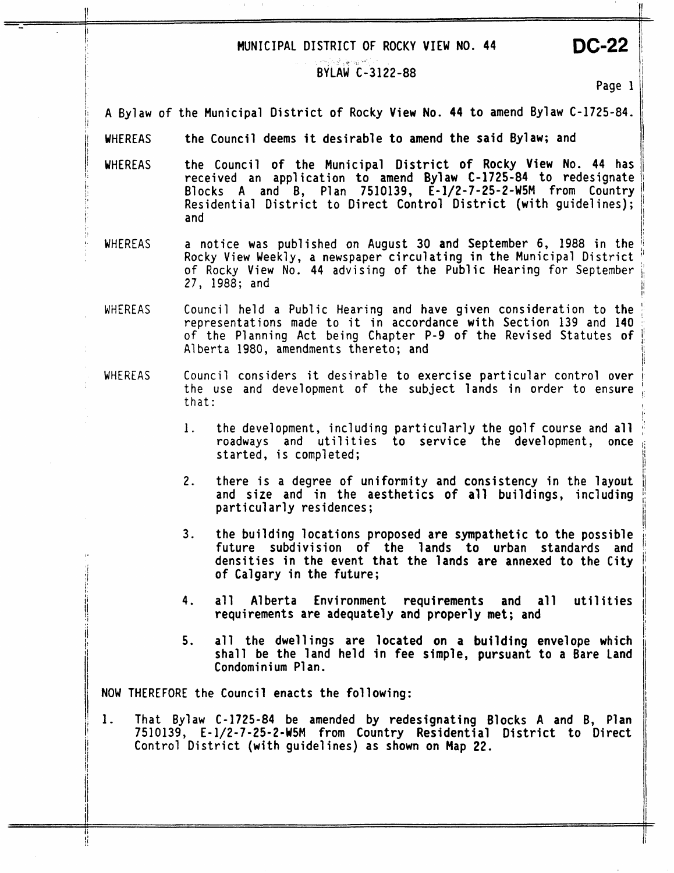#### MUNICIPAL DISTRICT OF ROCKY VIEW NO. 44

#### **BYLAW C-3122-88**

Page 1

**DC-22** 

1

!:

I!

li

**1, A Bylaw** of **the Municipal District of Rocky View No. 44 to amend Bylaw C-1725-84.** 

**the Council deems it desirable to amend the said Bylaw; and WHEREAS** 

- -

!I

i

I1 ٠. I!

- **WHEREAS** the Council of the Municipal District of Rocky View No. 44 has received an application to amend Bylaw C-1725-84 to redesignate Blocks A and B, Plan 7510139, E-1/2-7-25-2-W5M from Country Residential District to Direct Control District (with guidelines); and
- **WHEREAS** a notice was published on August 30 and September 6, 1988 in the Rocky View Weekly, a newspaper circulating in the Municipal District of Rocky View No. 44 advising of the Public Hearing for September 27, 1988; and
- WHEREAS Council held a Public Hearing and have given consideration to the representations made to it in accordance with Section 139 and 140 of the Planning Act being Chapter P-9 of the Revised Statutes of Alberta 1980, amendments thereto; and
- **WHEREAS** Council considers it desirable to exercise particular control over the use and development of the subject lands in order to ensure that:
	- $1$ . **the development, including particularly the golf course and all** ; **roadways and utilities to service the development, once started, is completed;** \I
	- 2. **there is a degree** of **uniformity and consistency in the layout**  and size and in the aesthetics of all buildings, including particularly residences;
	- **3. the building locations proposed are sympathetic to the possible future subdivision of the lands to urban standards and densities in the event that the lands are annexed to the City of Calgary in the future;**
	- **4. all Alberta Environment requirements and all utilities requirements are adequately and properly met; and**
	- **5. all the dwellings are located on a building envelope which shall be the land held in fee simple, pursuant to a Bare Land Condomi ni urn Pi an.**

**NOW THEREFORE the Council enacts the following:** <sup>I</sup>

' **1. That Bylaw C-1725-84 be amended by redesignating Blocks A and B, Plan** i; **7510139, E-1/2-7-25-2-W5M from Country Residential District to Direct Control District (with guidelines) as shown on Map 22.**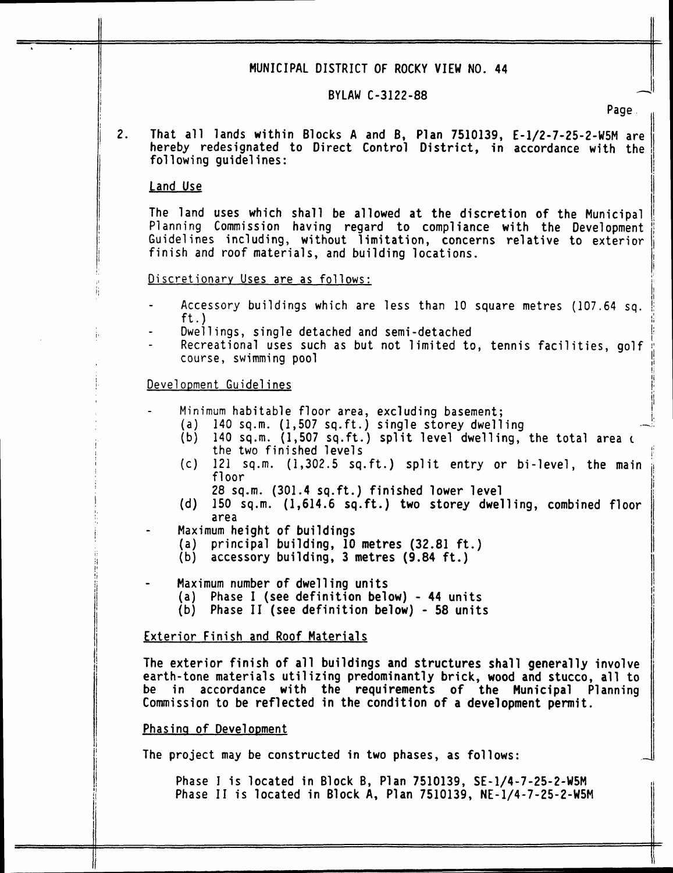## **RUNICIPAL DISTRICT OF ROCKY VIEW NO. 44** *research and the system of the system of the system of the system of the system of the system of the system of the system of the system of the system of the system of the system*

**Page** 

I:

/i

It **<sup>I</sup>**

ti

/j

II

**2. That all lands within Blocks A and B, Plan 7510139, E-1/2-7-25-2-W5M are hereby redesignated to Direct Control District, in accordance with the following guidelines:** 

#### **Land Use**

**The land uses which shall be allowed at the discretion** of **the Municipal Planning Commission having regard to compliance with the Development Guidel ines including, without limitation, concerns relative to exterior finish and roof materials, and building locations.** 

## **Discretionary Uses are as follows:**

- **Accessory buildings which are less than 10 square metres (107.64 sq.**   $ft.$
- 
- **Recreational uses such as but not limited to, tennis facilities, golf if Dweilings, single detached and semi-detached** I course, swimming pool

#### **Development Guidel ines**

- **Minimum habitable floor area, excluding basement;** 
	- (a) 140 sq.m. (1,507 sq.ft.) single storey dwelling
	- (b) **140 sq.m. (1,507 sq.ft.) split level dwelling, the total area <sup>c</sup> the two finished levels**
	- (c) 121 sq.m. (1,302.5 sq.ft.) split entry or bi-level, the main floor
		- **28 sq.m. (301.4 sq.ft.) finished lower level**
	- **(d) 150 sq.m. (1,614.6 sq.ft.) two storey dwelling, combined floor**  area<br>Maximum height of buildings
- 
- **(b)** Maximum height of buildings<br>
(a) principal building, 10 metres (32.81 ft.)<br>
(b) The contract of a set of a set of a set of a set of a set of a set of a set of a set of a set of a set of
	- (b) **accessory building, 3 metres (9.84** ft.)
- **Maximum number** of **dwelling units** 
	- **(a) Phase I (see definition below) 44 units**
	- **(b) Phase I1 (see definition below) 58 units**

### **Exterior Finish and Roof Materials**

**The exterior finish of all buildings and structures shall generally involve**  earth-tone materials utilizing predominantly brick, wood and stucco, all to **be in accordance with the requirements** *of* **the Municipal Planning Commission to be reflected in the conditlon of a development permit.** 

### **Phasing of Development**

**The project may be constructed in two phases, as follows:** 

**Phase 1 is located in Block 6, Plan 9510139, SE-1/4-7-25-2-W5M Ii Phase I1 is located in Block A, Plan 7510139, NE-1/4-7-25-2-W5M**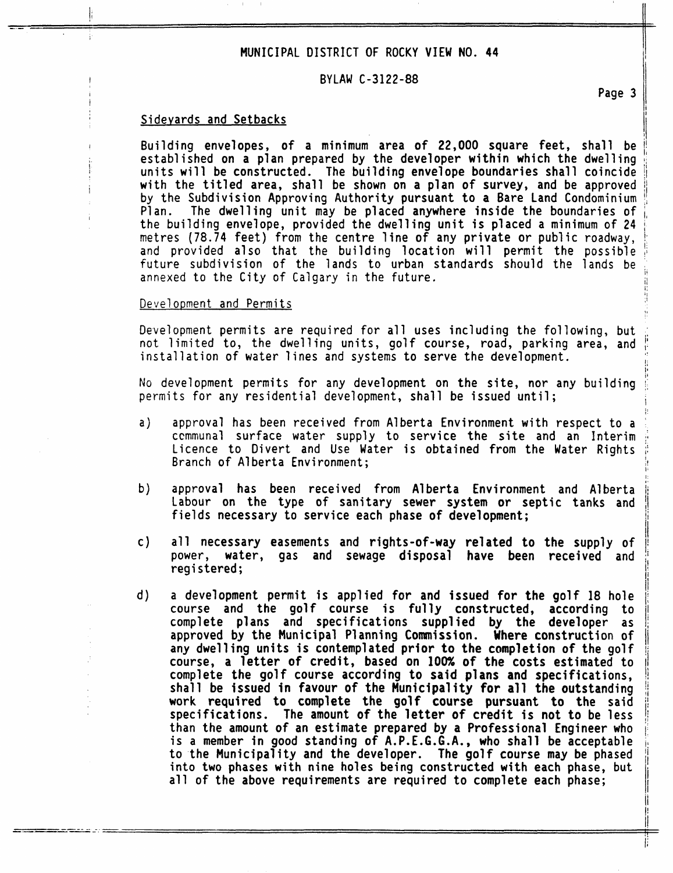#### **MUNICIPAL DISTRICT OF ROCKY VIEW NO. 44**

#### BYLAW C-3122-88

#### *<sup>8</sup>*Sidevards and Setbacks

i I

I

Building envelopes, of a minimum area of 22,000 square feet, shall be established on a plan prepared by the developer within which the dwelling units will be constructed. The building envelope boundaries shall coincide with the titled area, shall be shown on a plan of survey, and be approved by the Subdivision Approving Authority pursuant to a Bare Land Condominium Plan. The dwelling unit may be placed anywhere inside the boundaries of the building envelope, provided the dwelling unit is placed a minimum of **24**  metres (78.74 feet) from the centre line of any private or public roadway, and provided also that the building location will permit the possible future subdivision of the lands to urban standards should the lands **be**  annexed to the City of Calgary in the future.

#### Development and Permits

Development permits are required for all uses including the following, but not limited to, the dwelling units, golf course, road, parking area, and installation of water lines and systems to serve the development.

No development permits for any development on the site, nor any building permits for any residential development, shall be issued until;

- approval has been received from Alberta Environment with respect to a  $a)$ communal surface water supply to service the site and an Interim Licence to Divert and Use Water is obtained from the Water Rights ij Branch of **A1** berta Environment ; I
- $b)$ approval has been received from Alberta Environment and Alberta Labour on the type of sanitary sewer system or septic tanks and fields necessary to service each phase of development;
- all necessary easements and rights-of-way related to the supply of c) power, water, gas and sewage disposal have been received and (I registered; **I'**
- $\mathsf{d}$ ) a development permit is applied for and issued for the golf 18 hole course and the golf course is fully constructed, according to complete plans and specifications supplied by the developer as approved by the Municipal Planning Commission. Where construction of any dwelling units is contemplated prior to the completion of the golf course, a letter of credit, based on 100% of the costs estimated to complete the golf course according to said plans and specifications, shall be issued in favour of the Municipality for all the outstanding work required to complete the golf course pursuant to the said specifications. The amount of the letter of credit is **not** to be less 1; than the amount of an estimate prepared by a Professional Engineer who is a member in good standing of A.P.E.G.G.A., who shall be acceptable to the Municipality and the developer. The **golf** course may be phased into two phases with nine holes being constructed with each phase, but all of the above requirements are required to complete each phase;

Page 3

i: I

,

**I 1**  I'

li

Ii **I!**